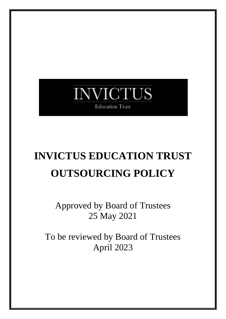## **NVICTUS Education Trust**

# **INVICTUS EDUCATION TRUST OUTSOURCING POLICY**

Approved by Board of Trustees 25 May 2021

To be reviewed by Board of Trustees April 2023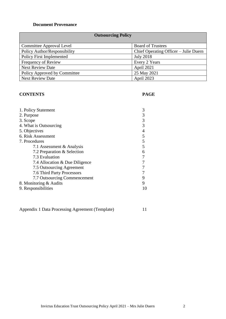#### **Document Provenance**

#### **Outsourcing Policy**

| Committee Approval Level        | <b>Board of Trustees</b>              |
|---------------------------------|---------------------------------------|
| Policy Author/Responsibility    | Chief Operating Officer – Julie Duern |
| <b>Policy First Implemented</b> | <b>July 2018</b>                      |
| Frequency of Review             | Every 2 Years                         |
| <b>Next Review Date</b>         | April 2021                            |
| Policy Approved by Committee    | 25 May 2021                           |
| <b>Next Review Date</b>         | April 2023                            |

#### **CONTENTS PAGE**

| 1. Policy Statement            |   |
|--------------------------------|---|
| 2. Purpose                     | 3 |
| 3. Scope                       | 3 |
| 4. What is Outsourcing         |   |
| 5. Objectives                  |   |
| 6. Risk Assessment             |   |
| 7. Procedures                  | 5 |
| 7.1 Assessment & Analysis      |   |
| 7.2 Preparation & Selection    | 6 |
| 7.3 Evaluation                 |   |
| 7.4 Allocation & Due Diligence |   |
| 7.5 Outsourcing Agreement      |   |
| 7.6 Third Party Processors     |   |
| 7.7 Outsourcing Commencement   | 9 |
| 8. Monitoring & Audits         |   |
| 9. Responsibilities            |   |
|                                |   |

Appendix 1 Data Processing Agreement (Template) 11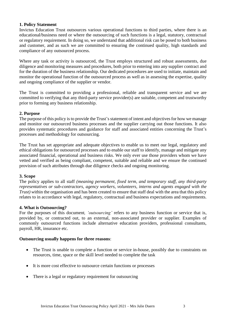#### **1. Policy Statement**

Invictus Education Trust outsources various operational functions to third parties, where there is an educational/business need or where the outsourcing of such functions is a legal, statutory, contractual or regulatory requirement. In doing so, we understand that additional risk can be posed to both business and customer, and as such we are committed to ensuring the continued quality, high standards and compliance of any outsourced process.

Where any task or activity is outsourced, the Trust employs structured and robust assessments, due diligence and monitoring measures and procedures, both prior to entering into any supplier contract and for the duration of the business relationship. Our dedicated procedures are used to initiate, maintain and monitor the operational function of the outsourced process as well as in assessing the expertise, quality and ongoing compliance of the supplier or vendor.

The Trust is committed to providing a professional, reliable and transparent service and we are committed to verifying that any third-party service provider(s) are suitable, competent and trustworthy prior to forming any business relationship.

#### **2. Purpose**

The purpose of this policy is to provide the Trust's statement of intent and objectives for how we manage and monitor our outsourced business processes and the supplier carrying out those functions. It also provides systematic procedures and guidance for staff and associated entities concerning the Trust's processes and methodology for outsourcing.

The Trust has set appropriate and adequate objectives to enable us to meet our legal, regulatory and ethical obligations for outsourced processes and to enable our staff to identify, manage and mitigate any associated financial, operational and business risks. We only ever use those providers whom we have vetted and verified as being compliant, competent, suitable and reliable and we ensure the continued provision of such attributes through due diligence checks and ongoing monitoring.

#### **3. Scope**

The policy applies to all staff *(meaning permanent, fixed term, and temporary staff, any third-party representatives or sub-contractors, agency workers, volunteers, interns and agents engaged with the Trust) w*ithin the organisation and has been created to ensure that staff deal with the area that this policy relates to in accordance with legal, regulatory, contractual and business expectations and requirements.

#### **4. What is Outsourcing?**

For the purposes of this document*, 'outsourcing'* refers to any business function or service that is, provided by, or contracted out, to an external, non-associated provider or supplier. Examples of commonly outsourced functions include alternative education providers, professional consultants, payroll, HR, insurance etc.

#### **Outsourcing usually happens for three reasons**:

- The Trust is unable to complete a function or service in-house, possibly due to constraints on resources, time, space or the skill level needed to complete the task
- It is more cost effective to outsource certain functions or processes
- There is a legal or regulatory requirement for outsourcing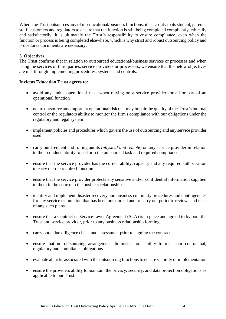Where the Trust outsources any of its educational/business functions, it has a duty to its student, parents, staff, customers and regulators to ensure that the function is still being completed compliantly, ethically and satisfactorily. It is ultimately the Trust's responsibility to ensure compliance, even when the function or process is being completed elsewhere, which is why strict and robust outsourcing policy and procedures documents are necessary.

#### **5. Objectives**

The Trust confirms that in relation to outsourced educational/business services or processes and when using the services of third parties, service providers or processors, we ensure that the below objectives are met through implementing procedures, systems and controls.

#### **Invictus Education Trust agrees to:**

- avoid any undue operational risks when relying on a service provider for all or part of an operational function
- not to outsource any important operational risk that may impair the quality of the Trust's internal control or the regulators ability to monitor the firm's compliance with our obligations under the regulatory and legal system
- implement policies and procedures which govern the use of outsourcing and any service provider used
- carry our frequent and rolling audits *(physical and remote)* on any service provider in relation to their conduct, ability to perform the outsourced task and required compliance
- ensure that the service provider has the correct ability, capacity and any required authorisation to carry out the required function
- ensure that the service provider protects any sensitive and/or confidential information supplied to them in the course to the business relationship
- identify and implement disaster recovery and business continuity procedures and contingencies for any service or function that has been outsourced and to carry out periodic reviews and tests of any such plans
- ensure that a Contract or Service Level Agreement (SLA) is in place and agreed to by both the Trust and service provider, prior to any business relationship forming
- carry out a due diligence check and assessment prior to signing the contract.
- ensure that no outsourcing arrangement diminishes our ability to meet our contractual, regulatory and compliance obligations
- evaluate all risks associated with the outsourcing functions to ensure viability of implementation
- ensure the providers ability to maintain the privacy, security, and data protection obligations as applicable to our Trust.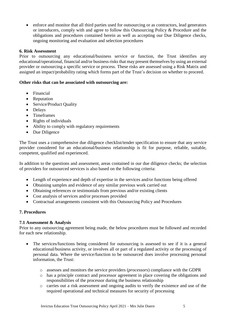• enforce and monitor that all third parties used for outsourcing or as contractors, lead generators or introducers, comply with and agree to follow this Outsourcing Policy & Procedure and the obligations and procedures contained herein as well as accepting our Due Diligence checks, ongoing monitoring and evaluation and selection procedures

#### **6. Risk Assessment**

Prior to outsourcing any educational/business service or function, the Trust identifies any educational/operational, financial and/or business risks that may present themselves by using an external provider or outsourcing a specific service or process. These risks are assessed using a Risk Matrix and assigned an impact/probability rating which forms part of the Trust's decision on whether to proceed.

#### **Other risks that can be associated with outsourcing are:**

- Financial
- Reputation
- Service/Product Quality
- Delays
- Timeframes
- Rights of individuals
- Ability to comply with regulatory requirements
- Due Diligence

The Trust uses a comprehensive due diligence checklist/tender specification to ensure that any service provider considered for an educational/business relationship is fit for purpose, reliable, suitable, competent, qualified and experienced.

In addition to the questions and assessment, areas contained in our due diligence checks; the selection of providers for outsourced services is also based on the following criteria:

- Length of experience and depth of expertise in the services and/or functions being offered
- Obtaining samples and evidence of any similar previous work carried out
- Obtaining references or testimonials from previous and/or existing clients
- Cost analysis of services and/or processes provided
- Contractual arrangements consistent with this Outsourcing Policy and Procedures

#### **7. Procedures**

#### **7.1 Assessment & Analysis**

Prior to any outsourcing agreement being made, the below procedures must be followed and recorded for each new relationship.

- The services/functions being considered for outsourcing is assessed to see if it is a general educational/business activity, or involves all or part of a regulated activity or the processing of personal data. Where the service/function to be outsourced does involve processing personal information, the Trust:
	- o assesses and monitors the service providers (*processors*) compliance with the GDPR
	- o has a principle contract and processor agreement in place covering the obligations and responsibilities of the processor during the business relationship
	- o carries out a risk assessment and ongoing audits to verify the existence and use of the required operational and technical measures for security of processing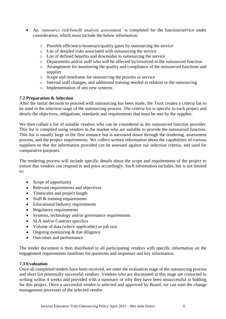- An *'outsource risk/benefit analysis assessment'* is completed for the function/service under consideration, which must include the below information:
	- o Possible efficiency/monetary/quality gains by outsourcing the service
	- o List of detailed risks associated with outsourcing the service
	- o List of defined benefits and downsides to outsourcing the service
	- o Departments and/or staff who will be affected by/involved in the outsourced function
	- o Arrangement for monitoring the quality and compliance of the outsourced functions and supplier
	- o Scope and timeframe for outsourcing the process or service
	- o Internal staff changes, and additional training needed in relation to the outsourcing
	- o Implementation of any new systems

#### **7.2 Preparation & Selection**

After the initial decision to proceed with outsourcing has been made, the Trust creates a criteria list to be used in the selection stage of the outsourcing process. The criteria list is specific to each project and details the objectives, obligations, standards and requirements that must be met by the supplier.

We then collate a list of suitable vendors who can be considered as the outsourced function provider. This list is compiled using vendors in the market who are suitable to provide the outsourced function. This list is usually large in the first instance but is narrowed down through the tendering, assessment process, and the project requirements. We collect written information about the capabilities of various suppliers so that the information provided can be assessed against our selection criteria, and used for comparative purposes.

The tendering process will include specific details about the scope and requirements of the project to ensure that vendors can respond to and price accordingly. Such information includes, but is not limited to:

- Scope of opportunity
- Relevant requirements and objectives
- Timescales and project length
- Staff & training requirements
- Educational/Industry requirements
- Regulatory requirements
- Systems, technology and/or governance requirements
- SLA and/or Contract specifics
- Volume of data *(where applicable)* or job size
- Ongoing monitoring & due diligence
- Outcomes and performance

The tender document is then distributed to all participating vendors with specific information on the engagement requirements timelines for questions and responses and key information.

#### **7.3 Evaluation**

Once all completed tenders have been received, we enter the evaluation stage of the outsourcing process and short list potentially successful vendors. Vendors who are discounted at this stage are contacted in writing within 4 weeks and provided with a summary of why they have been unsuccessful in bidding for this project. Once a successful vendor is selected and approved by Board, we can start the change management processes of the selected vendor.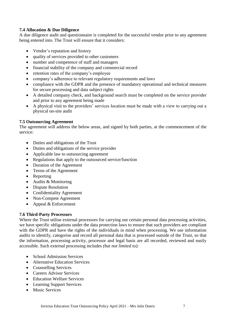#### **7.4 Allocation & Due Diligence**

A due diligence audit and questionnaire is completed for the successful vendor prior to any agreement being entered into. The Trust will ensure that it considers:

- Vendor's reputation and history
- quality of services provided to other customers
- number and competence of staff and managers
- financial stability of the company and commercial record
- retention rates of the company's employee
- company's adherence to relevant regulatory requirements and laws
- compliance with the GDPR and the presence of mandatory operational and technical measures for secure processing and data subject rights
- A detailed company check, and background search must be completed on the service provider and prior to any agreement being made
- A physical visit to the providers' services location must be made with a view to carrying out a physical on-site audit

#### **7.5 Outsourcing Agreement**

The agreement will address the below areas, and signed by both parties, at the commencement of the service:

- Duties and obligations of the Trust
- Duties and obligations of the service provider
- Applicable law to outsourcing agreement
- Regulations that apply to the outsourced service/function
- Duration of the Agreement
- Terms of the Agreement
- Reporting
- Audits & Monitoring
- Dispute Resolution
- Confidentiality Agreement
- Non-Compete Agreement
- Appeal & Enforcement

#### **7.6 Third-Party Processors**

Where the Trust utilise external processors for carrying out certain personal data processing activities, we have specific obligations under the data protection laws to ensure that such providers are compliant with the GDPR and have the rights of the individuals in mind when processing. We use information audits to identify, categorise and record all personal data that is processed outside of the Trust, so that the information, processing activity, processor and legal basis are all recorded, reviewed and easily accessible. Such external processing includes *(but not limited to):*

- School Admission Services
- Alternative Education Services
- Counselling Services
- Careers Advisor Services
- Education Welfare Services
- Learning Support Services
- Music Services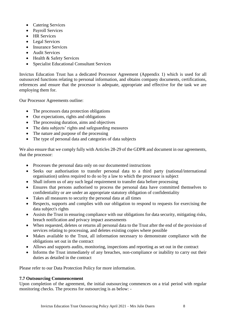- Catering Services
- Payroll Services
- HR Services
- Legal Services
- Insurance Services
- Audit Services
- Health & Safety Services
- Specialist Educational Consultant Services

Invictus Education Trust has a dedicated Processor Agreement (Appendix 1) which is used for all outsourced functions relating to personal information, and obtains company documents, certifications, references and ensure that the processor is adequate, appropriate and effective for the task we are employing them for.

Our Processor Agreements outline:

- The processors data protection obligations
- Our expectations, rights and obligations
- The processing duration, aims and objectives
- The data subjects' rights and safeguarding measures
- The nature and purpose of the processing
- The type of personal data and categories of data subjects

We also ensure that we comply fully with Articles 28-29 of the GDPR and document in our agreements, that the processor:

- Processes the personal data only on our documented instructions
- Seeks our authorisation to transfer personal data to a third party (national/international organisation) unless required to do so by a law to which the processor is subject
- Shall inform us of any such legal requirement to transfer data before processing
- Ensures that persons authorised to process the personal data have committed themselves to confidentiality or are under an appropriate statutory obligation of confidentiality
- Takes all measures to security the personal data at all times
- Respects, supports and complies with our obligation to respond to requests for exercising the data subject's rights
- Assists the Trust in ensuring compliance with our obligations for data security, mitigating risks, breach notification and privacy impact assessments
- When requested, deletes or returns all personal data to the Trust after the end of the provision of services relating to processing, and deletes existing copies where possible
- Makes available to the Trust, all information necessary to demonstrate compliance with the obligations set out in the contract
- Allows and supports audits, monitoring, inspections and reporting as set out in the contract
- Informs the Trust immediately of any breaches, non-compliance or inability to carry out their duties as detailed in the contract

Please refer to our Data Protection Policy for more information.

#### **7.7 Outsourcing Commencement**

Upon completion of the agreement, the initial outsourcing commences on a trial period with regular monitoring checks. The process for outsourcing is as below: -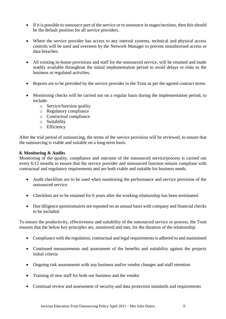- If it is possible to outsource part of the service or to outsource in stages/sections, then this should be the default position for all service providers.
- Where the service provider has access to any internal systems, technical and physical access controls will be used and overseen by the Network Manager to prevent unauthorised access or data breaches.
- All existing in-house provisions and staff for the outsourced service, will be retained and made readily available throughout the initial implementation period to avoid delays or risks to the business or regulated activities.
- Reports are to be provided by the service provider to the Trust as per the agreed contract terms
- Monitoring checks will be carried out on a regular basis during the implementation period, to include:
	- o Service/function quality
	- o Regulatory compliance
	- o Contractual compliance
	- o Suitability
	- o Efficiency

After the trial period of outsourcing, the terms of the service provision will be reviewed, to ensure that the outsourcing is viable and suitable on a long-term basis.

#### **8. Monitoring & Audits**

Monitoring of the quality, compliance and outcome of the outsourced service/process is carried out every 6/12 months to ensure that the service provider and outsourced function remain compliant with contractual and regulatory requirements and are both viable and suitable for business needs.

- Audit checklists are to be used when monitoring the performance and service provision of the outsourced service.
- Checklists are to be retained for 6 years after the working relationship has been terminated.
- Due diligence questionnaires are repeated on an annual basis with company and financial checks to be included.

To ensure the productivity, effectiveness and suitability of the outsourced service or process, the Trust ensures that the below key principles are, monitored and met, for the duration of the relationship:

- Compliance with the regulation, contractual and legal requirements is adhered to and maintained
- Continued measurements and assessment of the benefits and suitability against the projects initial criteria
- Ongoing risk assessments with any business and/or vendor changes and staff retention
- Training of new staff for both our business and the vendor
- Continual review and assessment of security and data protection standards and requirements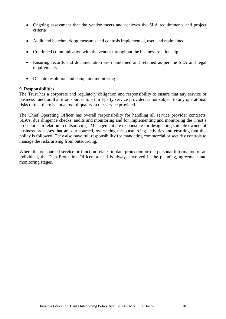- Ongoing assessment that the vendor meets and achieves the SLA requirements and project criteria
- Audit and benchmarking measures and controls implemented, used and maintained
- Continued communication with the vendor throughout the business relationship
- Ensuring records and documentation are maintained and retained as per the SLA and legal requirements
- Dispute resolution and complaint monitoring

#### **9. Responsibilities**

The Trust has a corporate and regulatory obligation and responsibility to ensure that any service or business function that it outsources to a third-party service provider, is not subject to any operational risks or that there is not a loss of quality in the service provided.

The Chief Operating Officer has overall responsibility for handling all service provider contracts, SLA's, due diligence checks, audits and monitoring and for implementing and monitoring the Trust's procedures in relation to outsourcing. Management are responsible for designating suitable owners of business processes that are out sourced, overseeing the outsourcing activities and ensuring that this policy is followed. They also have full responsibility for mandating commercial or security controls to manage the risks arising from outsourcing.

Where the outsourced service or function relates to data protection or the personal information of an individual, the Data Protection Officer or lead is always involved in the planning, agreement and monitoring stages.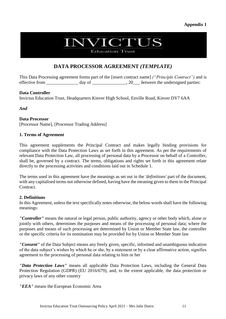#### **Appendix 1**

# **NVICTUS**

**Education Trust** 

### **DATA PROCESSOR AGREEMENT** *(TEMPLATE)*

This Data Processing agreement forms part of the [insert contract name] *("Principle Contract")* and is effective from day of  $\frac{1}{20}$  *between* the undersigned parties:

#### **Data Controller**

Invictus Education Trust, Headquarters Kinver High School, Enville Road, Kinver DY7 6AA

*And*

**Data Processor**

[Processor Name], [Processor Trading Address]

#### **1. Terms of Agreement**

This agreement supplements the Principal Contract and makes legally binding provisions for compliance with the Data Protection Laws as set forth in this agreement. As per the requirements of relevant Data Protection Law, all processing of personal data by a Processor on behalf of a Controller, shall be, governed by a contract. The terms, obligations and rights set forth in this agreement relate directly to the processing activities and conditions laid out in Schedule 1.

The terms used in this agreement have the meanings as set out in the *'definitions'* part of the document, with any capitalised terms not otherwise defined, having have the meaning given to them in the Principal Contract.

#### **2. Definitions**

In this Agreement, unless the text specifically notes otherwise, the below words shall have the following meanings:

*"Controller"* means the natural or legal person, public authority, agency or other body which, alone or jointly with others, determines the purposes and means of the processing of personal data; where the purposes and means of such processing are determined by Union or Member State law, the controller or the specific criteria for its nomination may be provided for by Union or Member State law

*"Consent"* of the Data Subject means any freely given, specific, informed and unambiguous indication of the data subject's wishes by which he or she, by a statement or by a clear affirmative action, signifies agreement to the processing of personal data relating to him or her

*"Data Protection Laws"* means all applicable Data Protection Laws, including the General Data Protection Regulation (GDPR) (EU 2016/679), and, to the extent applicable, the data protection or privacy laws of any other country

*"EEA"* means the European Economic Area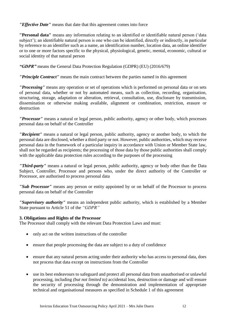*"Effective Date"* means that date that this agreement comes into force

**"Personal data"** means any information relating to an identified or identifiable natural person ('data subject'); an identifiable natural person is one who can be identified, directly or indirectly, in particular by reference to an identifier such as a name, an identification number, location data, an online identifier or to one or more factors specific to the physical, physiological, genetic, mental, economic, cultural or social identity of that natural person

*"GDPR"* means the General Data Protection Regulation (GDPR) (EU) (2016/679)

*"Principle Contract"* means the main contract between the parties named in this agreement

*"Processing"* means any operation or set of operations which is performed on personal data or on sets of personal data, whether or not by automated means, such as collection, recording, organisation, structuring, storage, adaptation or alteration, retrieval, consultation, use, disclosure by transmission, dissemination or otherwise making available, alignment or combination, restriction, erasure or destruction

*"Processor"* means a natural or legal person, public authority, agency or other body, which processes personal data on behalf of the Controller

*"Recipient"* means a natural or legal person, public authority, agency or another body, to which the personal data are disclosed, whether a third party or not. However, public authorities, which may receive personal data in the framework of a particular inquiry in accordance with Union or Member State law, shall not be regarded as recipients; the processing of those data by those public authorities shall comply with the applicable data protection rules according to the purposes of the processing

*"Third-party"* means a natural or legal person, public authority, agency or body other than the Data Subject, Controller, Processor and persons who, under the direct authority of the Controller or Processor, are authorised to process personal data

*"Sub Processor"* means any person or entity appointed by or on behalf of the Processor to process personal data on behalf of the Controller

*"Supervisory authority"* means an independent public authority, which is established by a Member State pursuant to Article 51 of the *"GDPR"*

#### **3. Obligations and Rights of the Processor**

The Processor shall comply with the relevant Data Protection Laws and must:

- only act on the written instructions of the controller
- ensure that people processing the data are subject to a duty of confidence
- ensure that any natural person acting under their authority who has access to personal data, does not process that data except on instructions from the Controller
- use its best endeavours to safeguard and protect all personal data from unauthorised or unlawful processing, including *(but not limited to)* accidental loss, destruction or damage and will ensure the security of processing through the demonstration and implementation of appropriate technical and organisational measures as specified in Schedule 1 of this agreement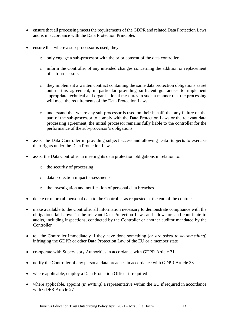- ensure that all processing meets the requirements of the GDPR and related Data Protection Laws and is in accordance with the Data Protection Principles
- ensure that where a sub-processor is used, they:
	- o only engage a sub-processor with the prior consent of the data controller
	- o inform the Controller of any intended changes concerning the addition or replacement of sub-processors
	- o they implement a written contract containing the same data protection obligations as set out in this agreement, in particular providing sufficient guarantees to implement appropriate technical and organisational measures in such a manner that the processing will meet the requirements of the Data Protection Laws
	- o understand that where any sub-processor is used on their behalf, that any failure on the part of the sub-processor to comply with the Data Protection Laws or the relevant data processing agreement, the initial processor remains fully liable to the controller for the performance of the sub-processor's obligations
- assist the Data Controller in providing subject access and allowing Data Subjects to exercise their rights under the Data Protection Laws
- assist the Data Controller in meeting its data protection obligations in relation to:
	- o the security of processing
	- o data protection impact assessments
	- o the investigation and notification of personal data breaches
- delete or return all personal data to the Controller as requested at the end of the contract
- make available to the Controller all information necessary to demonstrate compliance with the obligations laid down in the relevant Data Protection Laws and allow for, and contribute to audits, including inspections, conducted by the Controller or another auditor mandated by the **Controller**
- tell the Controller immediately if they have done something (*or are asked to do something*) infringing the GDPR or other Data Protection Law of the EU or a member state
- co-operate with Supervisory Authorities in accordance with GDPR Article 31
- notify the Controller of any personal data breaches in accordance with GDPR Article 33
- where applicable, employ a Data Protection Officer if required
- where applicable, appoint *(in writing)* a representative within the EU if required in accordance with GDPR Article 27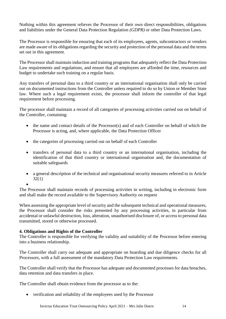Nothing within this agreement relieves the Processor of their own direct responsibilities, obligations and liabilities under the General Data Protection Regulation *(GDPR)* or other Data Protection Laws.

The Processor is responsible for ensuring that each of its employees, agents, subcontractors or vendors are made aware of its obligations regarding the security and protection of the personal data and the terms set out in this agreement.

The Processor shall maintain induction and training programs that adequately reflect the Data Protection Law requirements and regulations, and ensure that all employees are afforded the time, resources and budget to undertake such training on a regular basis.

Any transfers of personal data to a third country or an international organisation shall only be carried out on documented instructions from the Controller unless required to do so by Union or Member State law. Where such a legal requirement exists, the processor shall inform the controller of that legal requirement before processing.

The processor shall maintain a record of all categories of processing activities carried out on behalf of the Controller, containing:

- the name and contact details of the Processor(s) and of each Controller on behalf of which the Processor is acting, and, where applicable, the Data Protection Officer
- the categories of processing carried out on behalf of each Controller
- transfers of personal data to a third country or an international organisation, including the identification of that third country or international organisation and, the documentation of suitable safeguards
- a general description of the technical and organisational security measures referred to in Article 32(1)
- •

The Processor shall maintain records of processing activities in writing, including in electronic form and shall make the record available to the Supervisory Authority on request

When assessing the appropriate level of security and the subsequent technical and operational measures, the Processor shall consider the risks presented by any processing activities, in particular from accidental or unlawful destruction, loss, alteration, unauthorised disclosure of, or access to personal data transmitted, stored or otherwise processed.

#### **4. Obligations and Rights of the Controller**

The Controller is responsible for verifying the validity and suitability of the Processor before entering into a business relationship.

The Controller shall carry out adequate and appropriate on boarding and due diligence checks for all Processors, with a full assessment of the mandatory Data Protection Law requirements.

The Controller shall verify that the Processor has adequate and documented processes for data breaches, data retention and data transfers in place.

The Controller shall obtain evidence from the processor as to the:

• verification and reliability of the employees used by the Processor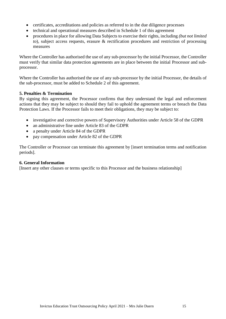- certificates, accreditations and policies as referred to in the due diligence processes
- technical and operational measures described in Schedule 1 of this agreement
- procedures in place for allowing Data Subjects to exercise their rights, including *(but not limited to*), subject access requests, erasure & rectification procedures and restriction of processing measures

Where the Controller has authorised the use of any sub-processor by the initial Processor, the Controller must verify that similar data protection agreements are in place between the initial Processor and subprocessor.

Where the Controller has authorised the use of any sub-processor by the initial Processor, the details of the sub-processor, must be added to Schedule 2 of this agreement.

#### **5. Penalties & Termination**

By signing this agreement, the Processor confirms that they understand the legal and enforcement actions that they may be subject to should they fail to uphold the agreement terms or breach the Data Protection Laws. If the Processor fails to meet their obligations, they may be subject to:

- investigative and corrective powers of Supervisory Authorities under Article 58 of the GDPR
- an administrative fine under Article 83 of the GDPR
- a penalty under Article 84 of the GDPR
- pay compensation under Article 82 of the GDPR

The Controller or Processor can terminate this agreement by [insert termination terms and notification periods].

#### **6. General Information**

[Insert any other clauses or terms specific to this Processor and the business relationship]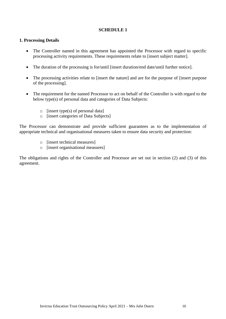#### **SCHEDULE 1**

#### **1. Processing Details**

- The Controller named in this agreement has appointed the Processor with regard to specific processing activity requirements. These requirements relate to [insert subject matter].
- The duration of the processing is for/until [insert duration/end date/until further notice].
- The processing activities relate to [insert the nature] and are for the purpose of [insert purpose of the processing].
- The requirement for the named Processor to act on behalf of the Controller is with regard to the below type(s) of personal data and categories of Data Subjects:
	- $\circ$  [insert type(s) of personal data]
	- o [insert categories of Data Subjects]

The Processor can demonstrate and provide sufficient guarantees as to the implementation of appropriate technical and organisational measures taken to ensure data security and protection:

- o [insert technical measures]
- o [insert organisational measures]

The obligations and rights of the Controller and Processor are set out in section (2) and (3) of this agreement.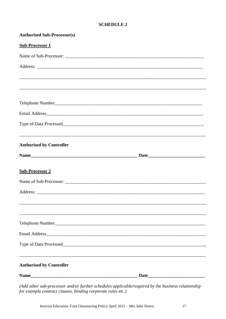#### **SCHEDULE 2**

| <b>Authorised Sub-Processor(s)</b>                                               |  |
|----------------------------------------------------------------------------------|--|
| <b>Sub-Processor 1</b>                                                           |  |
|                                                                                  |  |
|                                                                                  |  |
|                                                                                  |  |
|                                                                                  |  |
|                                                                                  |  |
|                                                                                  |  |
|                                                                                  |  |
| <b>Authorised by Controller</b>                                                  |  |
|                                                                                  |  |
| <b>Sub-Processor 2</b>                                                           |  |
|                                                                                  |  |
|                                                                                  |  |
|                                                                                  |  |
| Telephone Number                                                                 |  |
|                                                                                  |  |
|                                                                                  |  |
| ,我们也不会有什么。""我们的人,我们也不会有什么?""我们的人,我们也不会有什么?""我们的人,我们也不会有什么?""我们的人,我们也不会有什么?""我们的人 |  |
| <b>Authorised by Controller</b>                                                  |  |
|                                                                                  |  |

(Add other sub-processor and/or further schedules applicable/required by the business relationship for example contract clauses, binding corporate rules etc.)